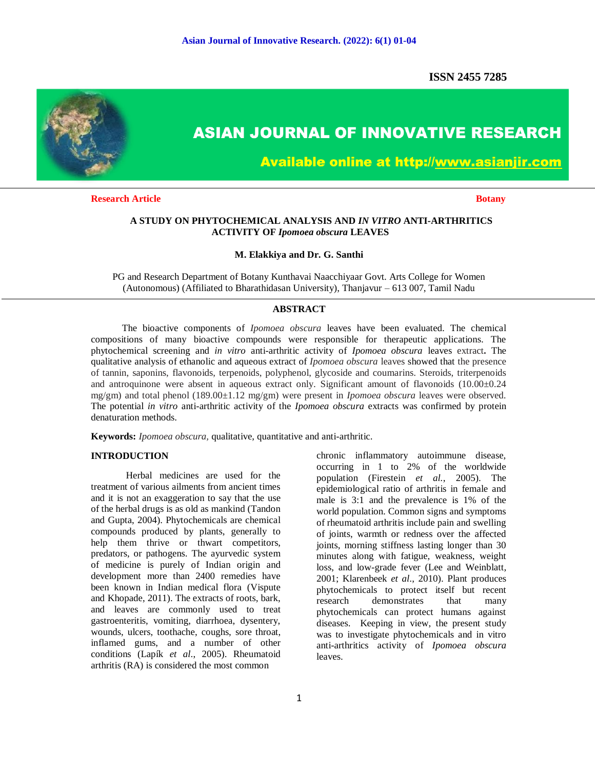**ISSN 2455 7285**



# **ASIAN JOURNAL OF INNOVATIVE RESEARCH**

**Available online at http://www.asianjir.com** 

**Research Article Botany Botany Botany Botany** 

## **A STUDY ON PHYTOCHEMICAL ANALYSIS AND** *IN VITRO* **ANTI-ARTHRITICS ACTIVITY OF** *Ipomoea obscura* **LEAVES**

#### **M. Elakkiya and Dr. G. Santhi**

PG and Research Department of Botany Kunthavai Naacchiyaar Govt. Arts College for Women (Autonomous) (Affiliated to Bharathidasan University), Thanjavur – 613 007, Tamil Nadu

## **ABSTRACT**

 The bioactive components of *Ipomoea obscura* leaves have been evaluated. The chemical compositions of many bioactive compounds were responsible for therapeutic applications. The phytochemical screening and *in vitro* anti-arthritic activity of *Ipomoea obscura* leaves extract**.** The qualitative analysis of ethanolic and aqueous extract of *Ipomoea obscura* leaves showed that the presence of tannin, saponins, flavonoids, terpenoids, polyphenol, glycoside and coumarins. Steroids, triterpenoids and antroquinone were absent in aqueous extract only. Significant amount of flavonoids (10.00±0.24 mg/gm) and total phenol (189.00±1.12 mg/gm) were present in *Ipomoea obscura* leaves were observed. The potential *in vitro* anti-arthritic activity of the *Ipomoea obscura* extracts was confirmed by protein denaturation methods.

**Keywords:** *Ipomoea obscura,* qualitative, quantitative and anti-arthritic.

## **INTRODUCTION**

Herbal medicines are used for the treatment of various ailments from ancient times and it is not an exaggeration to say that the use of the herbal drugs is as old as mankind (Tandon and Gupta, 2004). Phytochemicals are chemical compounds produced by plants, generally to help them thrive or thwart competitors, predators, or pathogens. The ayurvedic system of medicine is purely of Indian origin and development more than 2400 remedies have been known in Indian medical flora (Vispute and Khopade, 2011). The extracts of roots, bark, and leaves are commonly used to treat gastroenteritis, vomiting, diarrhoea, dysentery, wounds, ulcers, toothache, coughs, sore throat, inflamed gums, and a number of other conditions (Lapík *et al*., 2005). Rheumatoid arthritis (RA) is considered the most common

chronic inflammatory autoimmune disease, occurring in 1 to 2% of the worldwide population (Firestein *et al.*, 2005). The epidemiological ratio of arthritis in female and male is 3:1 and the prevalence is 1% of the world population. Common signs and symptoms of rheumatoid arthritis include pain and swelling of joints, warmth or redness over the affected joints, morning stiffness lasting longer than 30 minutes along with fatigue, weakness, weight loss, and low-grade fever (Lee and Weinblatt, 2001; Klarenbeek *et al*., 2010). Plant produces phytochemicals to protect itself but recent research demonstrates that many phytochemicals can protect humans against diseases. Keeping in view, the present study was to investigate phytochemicals and in vitro anti-arthritics activity of *Ipomoea obscura* leaves.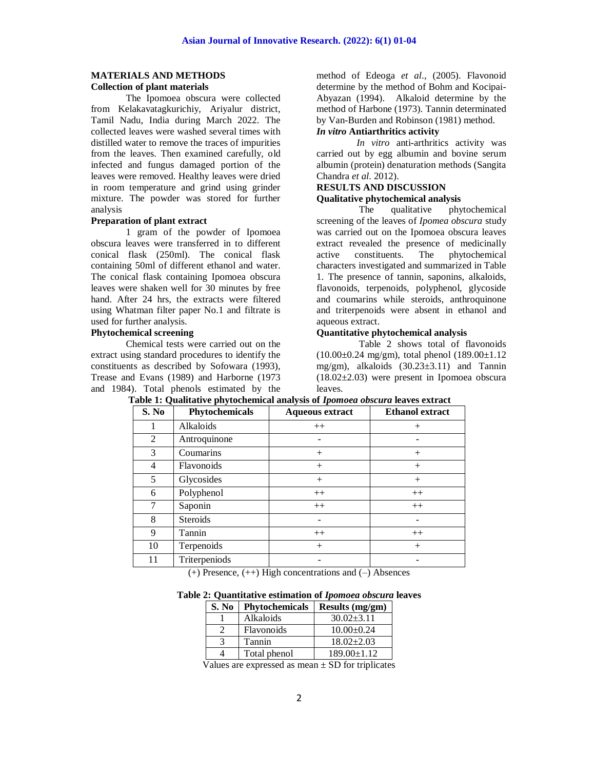#### **MATERIALS AND METHODS Collection of plant materials**

The Ipomoea obscura were collected from Kelakavatagkurichiy, Ariyalur district, Tamil Nadu, India during March 2022. The collected leaves were washed several times with distilled water to remove the traces of impurities from the leaves. Then examined carefully, old infected and fungus damaged portion of the leaves were removed. Healthy leaves were dried in room temperature and grind using grinder mixture. The powder was stored for further analysis

## **Preparation of plant extract**

1 gram of the powder of Ipomoea obscura leaves were transferred in to different conical flask (250ml). The conical flask containing 50ml of different ethanol and water. The conical flask containing Ipomoea obscura leaves were shaken well for 30 minutes by free hand. After 24 hrs, the extracts were filtered using Whatman filter paper No.1 and filtrate is used for further analysis.

# **Phytochemical screening**

Chemical tests were carried out on the extract using standard procedures to identify the constituents as described by Sofowara (1993), Trease and Evans (1989) and Harborne (1973 and 1984). Total phenols estimated by the method of Edeoga *et al*., (2005). Flavonoid determine by the method of Bohm and Kocipai-Abyazan (1994). Alkaloid determine by the method of Harbone (1973). Tannin determinated by Van-Burden and Robinson (1981) method.

# *In vitro* **Antiarthritics activity**

 *In vitro* anti-arthritics activity was carried out by egg albumin and bovine serum albumin (protein) denaturation methods (Sangita Chandra *et al.* 2012).

#### **RESULTS AND DISCUSSION Qualitative phytochemical analysis**

 The qualitative phytochemical screening of the leaves of *Ipomea obscura* study was carried out on the Ipomoea obscura leaves extract revealed the presence of medicinally active constituents. The phytochemical characters investigated and summarized in Table 1. The presence of tannin, saponins, alkaloids, flavonoids, terpenoids, polyphenol, glycoside and coumarins while steroids, anthroquinone and triterpenoids were absent in ethanol and aqueous extract.

## **Quantitative phytochemical analysis**

 Table 2 shows total of flavonoids  $(10.00\pm0.24 \text{ mg/cm})$ , total phenol  $(189.00\pm1.12 \text{ m})$ mg/gm), alkaloids (30.23±3.11) and Tannin  $(18.02\pm2.03)$  were present in Ipomoea obscura leaves.

| S. No | Phytochemicals  | <b>Aqueous extract</b> | <b>Ethanol</b> extract |
|-------|-----------------|------------------------|------------------------|
|       | Alkaloids       | $++$                   | $^{+}$                 |
| 2     | Antroquinone    |                        |                        |
| 3     | Coumarins       | $^{+}$                 | $^{+}$                 |
| 4     | Flavonoids      | $+$                    | $^{+}$                 |
| 5     | Glycosides      | $^{+}$                 | $^{+}$                 |
| 6     | Polyphenol      | $++$                   | $++$                   |
| 7     | Saponin         | $++$                   | $++$                   |
| 8     | <b>Steroids</b> |                        |                        |
| 9     | Tannin          | $++$                   | $++$                   |
| 10    | Terpenoids      | $^{+}$                 | $^{+}$                 |
| 11    | Triterpeniods   |                        |                        |

**Table 1: Qualitative phytochemical analysis of** *Ipomoea obscura* **leaves extract**

(+) Presence, (++) High concentrations and (–) Absences

**Table 2: Quantitative estimation of** *Ipomoea obscura* **leaves** 

| S. No | Phytochemicals | <b>Results (mg/gm)</b> |
|-------|----------------|------------------------|
|       | Alkaloids      | $30.02 + 3.11$         |
|       | Flavonoids     | $10.00 \pm 0.24$       |
|       | Tannin         | $18.02 \pm 2.03$       |
|       | Total phenol   | $189.00 \pm 1.12$      |

Values are expressed as mean  $\pm$  SD for triplicates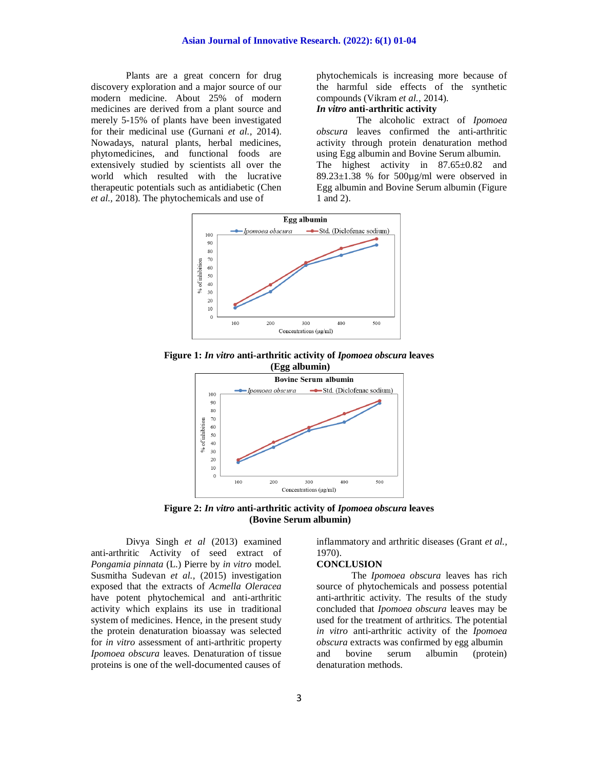Plants are a great concern for drug discovery exploration and a major source of our modern medicine. About 25% of modern medicines are derived from a plant source and merely 5-15% of plants have been investigated for their medicinal use (Gurnani *et al.,* 2014). Nowadays, natural plants, herbal medicines, phytomedicines, and functional foods are extensively studied by scientists all over the world which resulted with the lucrative therapeutic potentials such as antidiabetic (Chen *et al.,* 2018). The phytochemicals and use of

phytochemicals is increasing more because of the harmful side effects of the synthetic compounds (Vikram *et al.,* 2014).

# *In vitro* **anti-arthritic activity**

 The alcoholic extract of *Ipomoea obscura* leaves confirmed the anti-arthritic activity through protein denaturation method using Egg albumin and Bovine Serum albumin. The highest activity in 87.65±0.82 and 89.23 $\pm$ 1.38 % for 500 $\mu$ g/ml were observed in Egg albumin and Bovine Serum albumin (Figure 1 and 2).



**Figure 1:** *In vitro* **anti-arthritic activity of** *Ipomoea obscura* **leaves (Egg albumin)**



**Figure 2:** *In vitro* **anti-arthritic activity of** *Ipomoea obscura* **leaves (Bovine Serum albumin)**

Divya Singh *et al* (2013) examined anti-arthritic Activity of seed extract of *Pongamia pinnata* (L.) Pierre by *in vitro* model. Susmitha Sudevan *et al.,* (2015) investigation exposed that the extracts of *Acmella Oleracea* have potent phytochemical and anti-arthritic activity which explains its use in traditional system of medicines. Hence, in the present study the protein denaturation bioassay was selected for *in vitro* assessment of anti-arthritic property *Ipomoea obscura* leaves. Denaturation of tissue proteins is one of the well-documented causes of

inflammatory and arthritic diseases (Grant *et al.,* 1970).

#### **CONCLUSION**

The *Ipomoea obscura* leaves has rich source of phytochemicals and possess potential anti-arthritic activity. The results of the study concluded that *Ipomoea obscura* leaves may be used for the treatment of arthritics. The potential *in vitro* anti-arthritic activity of the *Ipomoea obscura* extracts was confirmed by egg albumin and bovine serum albumin (protein) denaturation methods.